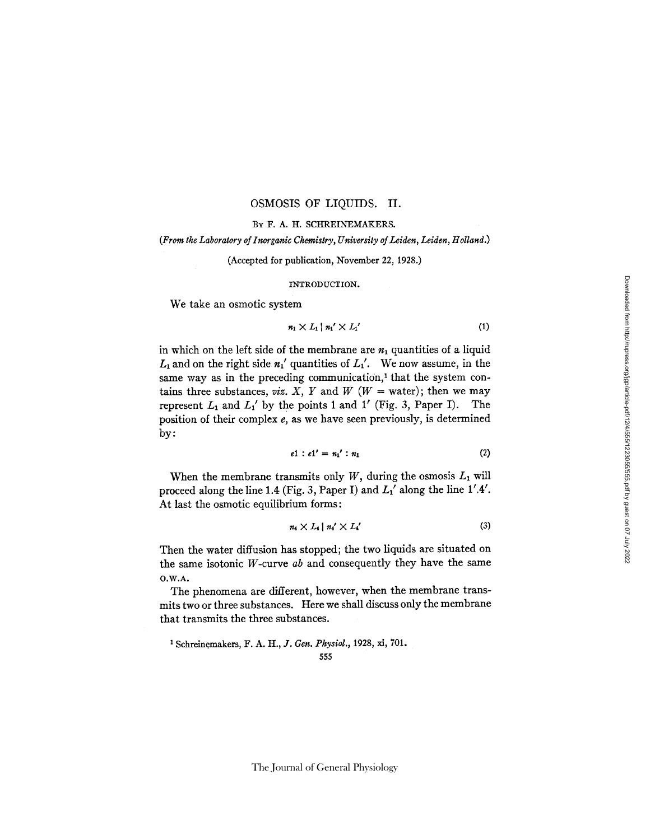## OSMOSIS OF LIQUIDS. II.

#### BY F. A. H. SCHREINEMAKERS.

#### *(From the Laboratory of Inorganic Chemistry, University of Leiden, Leiden, Holland.)*

(Accepted for publication, November 22, 1928.)

#### INTRODUCTION.

We take an osmotic system

$$
n_1 \times L_1 \mid n_1' \times L_1'
$$
 (1)

in which on the left side of the membrane are  $n_1$  quantities of a liquid  $L_1$  and on the right side  $n_1'$  quantities of  $L_1'$ . We now assume, in the same way as in the preceding communication,<sup>1</sup> that the system contains three substances, *viz. X, Y* and *W* ( $W =$  water); then we may represent  $L_1$  and  $L_1'$  by the points 1 and 1' (Fig. 3, Paper I). The position of their complex *e,* as we have seen previously, is determined by:

$$
e1 : e1' = n_1' : n_1 \tag{2}
$$

When the membrane transmits only  $W$ , during the osmosis  $L_1$  will proceed along the line 1.4 (Fig. 3, Paper I) and *L:'* along the line 1'.4'. At last the osmotic equilibrium forms:

$$
n_4 \times L_4 \mid n_4' \times L_4'
$$
 (3)

Then the water diffusion has stopped; the two liquids are situated on the same isotonic W-curve *ab* and consequently they have the same O.W.A.

The phenomena are different, however, when the membrane transmits two or three substances. Here we shall discuss only the membrane that transmits the three substances.

<sup>1</sup> Schreinemakers, F. A. H., J. *Gen. Physiol.*, 1928, xi, 701.

555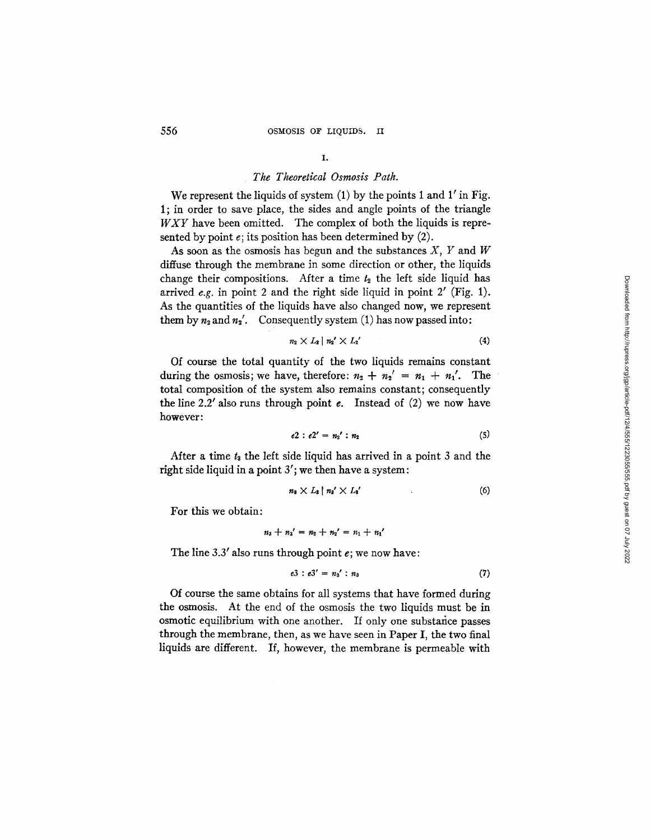## *The Theoretical Osmosis Path.*

We represent the liquids of system  $(1)$  by the points 1 and 1' in Fig. 1; in order to save place, the sides and angle points of the triangle *WXY* have been omitted. The complex of both the liquids is represented by point  $e$ ; its position has been determined by  $(2)$ .

As soon as the osmosis has begun and the substances  $X$ ,  $Y$  and  $W$ diffuse through the membrane in some direction or other, the liquids change their compositions. After a time  $t_2$  the left side liquid has arrived  $e.g.$  in point 2 and the right side liquid in point  $2'$  (Fig. 1). As the quantities of the liquids have also changed now, we represent them by  $n_2$  and  $n_2'$ . Consequently system (1) has now passed into:

$$
n_2 \times L_2 \mid n_2' \times L_2'
$$
 (4)

Of course the total quantity of the two liquids remains constant during the osmosis; we have, therefore:  $n_2 + n_2' = n_1 + n_1'$ . The total composition of the system also remains constant; consequently the line  $2.2'$  also runs through point  $e$ . Instead of  $(2)$  we now have however:

$$
e2 : e2' = n_2' : n_2 \tag{5}
$$

After a time  $t_3$  the left side liquid has arrived in a point 3 and the right side liquid in a point 3'; we then have a system:

$$
n_3 \times L_3 \mid n_3' \times L_3' \tag{6}
$$

For this we obtain:

$$
n_3 + n_3' = n_2 + n_2' = n_1 + n_1'
$$

The line 3.3' also runs through point  $e$ ; we now have:

$$
e3 : e3' = n_3' : n_3 \tag{7}
$$

Of course the same obtains for all systems that have formed during the osmosis. At the end of the osmosis the two liquids must be in osmotic equilibrium with one another. If only one substance passes through the membrane, then, as we have seen in Paper I, the two final liquids are different. If, however, the membrane is permeable with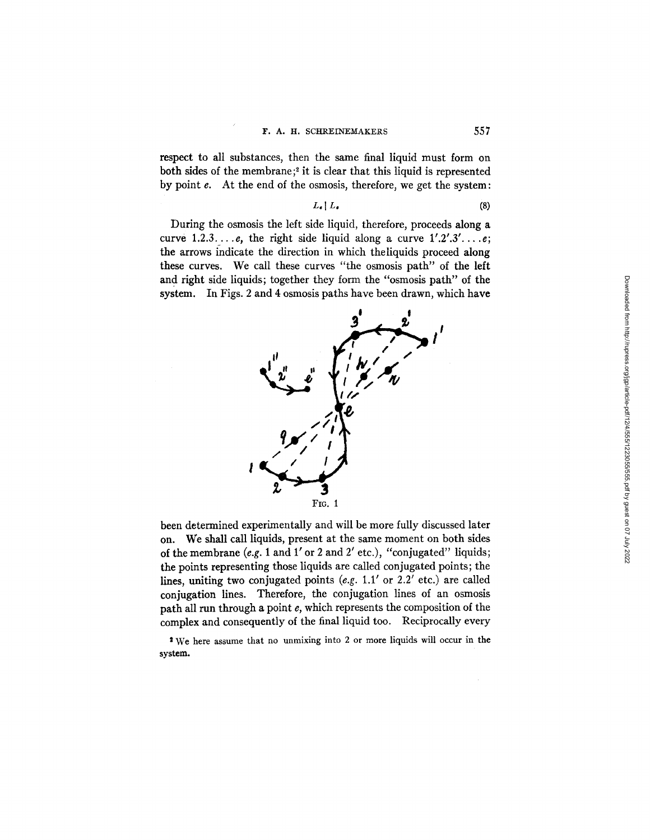respect to all substances, then the same final liquid must form on both sides of the membrane;<sup>2</sup> it is clear that this liquid is represented by point e. At the end of the osmosis, therefore, we get the system:

$$
L_{\epsilon} \mid L_{\epsilon} \tag{8}
$$

During the osmosis the left side liquid, therefore, proceeds along a curve  $1.2.3 \ldots e$ , the right side liquid along a curve  $1'.2'.3'. \ldots e$ ; the arrows indicate the direction in which theliquids proceed along these curves. We call these curves "the osmosis path" of the left and right side liquids; together they form the "osmosis path" of the system. In Figs. 2 and 4 osmosis paths have been drawn, which have



been determined experimentally and will be more fully discussed later on. We shall call liquids, present at the same moment on both sides of the membrane *(e.g.* 1 and 1' or 2 and 2' etc.), "conjugated" liquids; the points representing those liquids are called conjugated points; the lines, uniting two conjugated points (e.g. 1.1' or 2.2' etc.) are called conjugation lines. Therefore, the conjugation lines of an osmosis path all run through a point e, which represents the composition of the complex and consequently of the final liquid too. Reciprocally every

2 We here assume that no unmlxing into 2 or more liquids will occur in the **system.**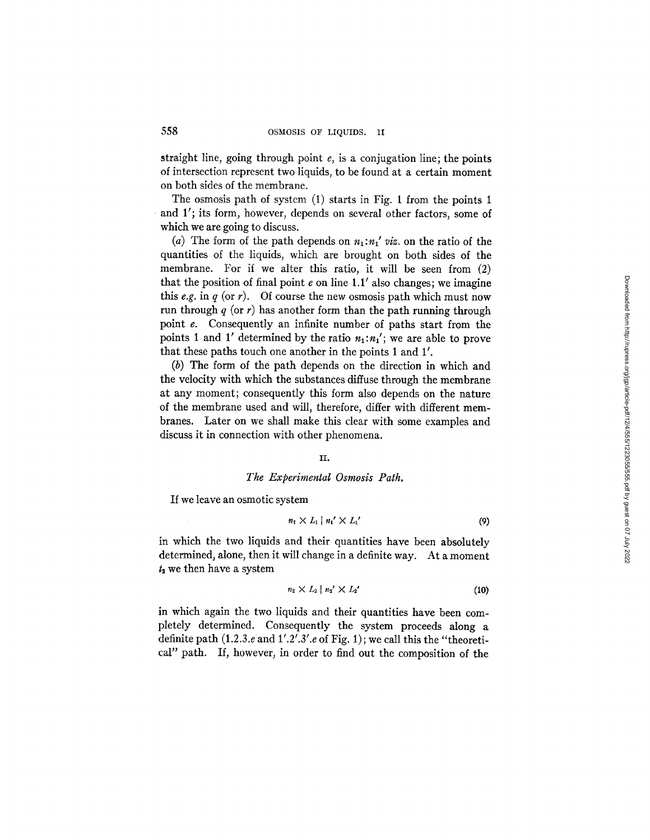straight line, going through point  $e$ , is a conjugation line; the points of intersection represent two liquids, to be found at a certain moment on both sides of the membrane.

The osmosis path of system (1) starts in Fig. 1 from the points 1 and 1'; its form, however, depends on several other factors, some of which we are going to discuss.

(a) The form of the path depends on  $n_1:n'_1$  viz. on the ratio of the quantities of the liquids, which are brought on both sides of the membrane. For if we alter this ratio, it will be seen from (2) that the position of final point  $e$  on line 1.1' also changes; we imagine this *e.g.* in  $q$  (or  $r$ ). Of course the new osmosis path which must now run through  $q$  (or r) has another form than the path running through point e. Consequently an infinite number of paths start from the points 1 and 1' determined by the ratio  $n_1:n'_1$ ; we are able to prove that these paths touch one another in the points 1 and 1'.

(b) The form of the path depends on the direction in which and the velocity with which the substances diffuse through the membrane at any moment; consequently this form also depends on the nature of the membrane used and will, therefore, differ with different membranes. Later on we shall make this clear with some examples and discuss it in connection with other phenomena.

### II°

## *The Experimental Osmosis Path.*

If we leave an osmotic system

$$
n_1 \times L_1 \mid n_1' \times L_1'
$$
 (9)

in which the two liquids and their quantities have been absolutely determined, alone, then it will change in a definite way, At a moment  $t_2$  we then have a system

$$
n_2 \times L_2 \mid n_2' \times L_2'
$$
 (10)

in which again the two liquids and their quantities have been completely determined. Consequently the system proceeds along a definite path (1.2.3.e and *1'.2'.3'.e* of Fig. 1) ; we call this the "theoretical" path. If, however, in order to find out the composition of the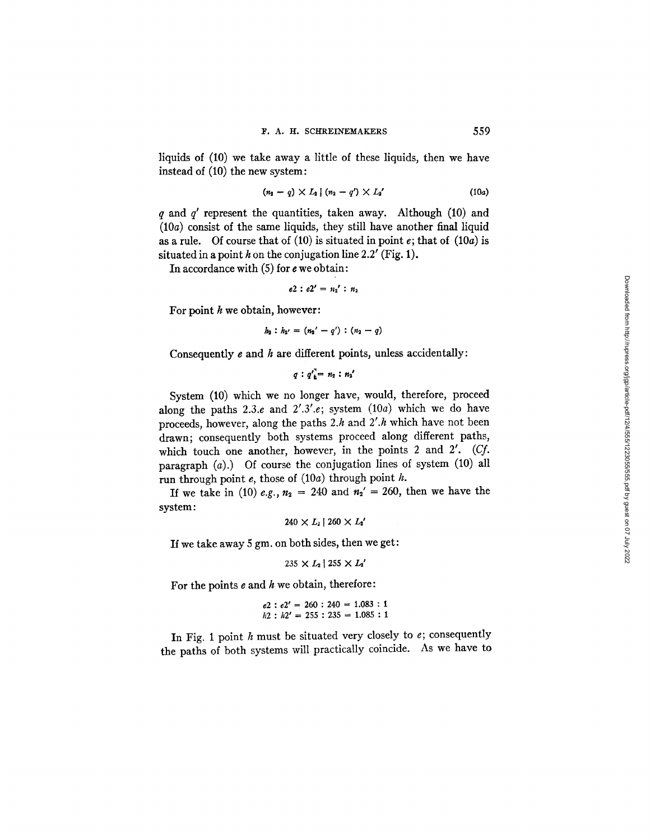liquids of (10) we take away a little of these liquids, then we have instead of (10) the new system:

$$
(n_2 - q) \times L_2 \mid (n_2 - q') \times L_2' \tag{10a}
$$

 $q$  and  $q'$  represent the quantities, taken away. Although (10) and  $(10a)$  consist of the same liquids, they still have another final liquid as a rule. Of course that of (10) is situated in point  $e$ ; that of (10a) is situated in a point h on the conjugation line 2.2' (Fig. 1).

In accordance with  $(5)$  for  $e$  we obtain:

 $e2 : e2' = n_2' : n_2$ 

For point  $h$  we obtain, however:

 $h_2 : h_{2'} = (n_2' - q') : (n_2 - q)$ 

Consequently  $e$  and  $h$  are different points, unless accidentally:

$$
q: q'_{\underline{k}} = n_2: n_2'
$$

System (10) which we no longer have, would, therefore, proceed along the paths 2.3.e and  $2^{\prime}.3^{\prime}.e$ ; system  $(10a)$  which we do have proceeds, however, along the paths  $2.h$  and  $2'.h$  which have not been drawn; consequently both systems proceed along different paths, which touch one another, however, in the points 2 and 2'. (Cf. paragraph  $(a)$ .) Of course the conjugation lines of system  $(10)$  all run through point  $e$ , those of  $(10a)$  through point  $h$ .

If we take in (10) *e.g.*,  $n_2 = 240$  and  $n_2' = 260$ , then we have the system:

$$
240 \times L_{\scriptscriptstyle 2} \,|\, 260 \times L_{\scriptscriptstyle 2}^{\,\prime}
$$

If we take away 5 gm. on both sides, then we get:

 $235 \times L_2$  |  $255 \times L_3'$ 

For the points  $e$  and  $h$  we obtain, therefore:

$$
e2 : e2' = 260 : 240 = 1.083 : 1
$$
  

$$
h2 : h2' = 255 : 235 = 1.085 : 1
$$

In Fig. 1 point  $h$  must be situated very closely to  $e$ ; consequently the paths of both systems will practically coincide. As we have to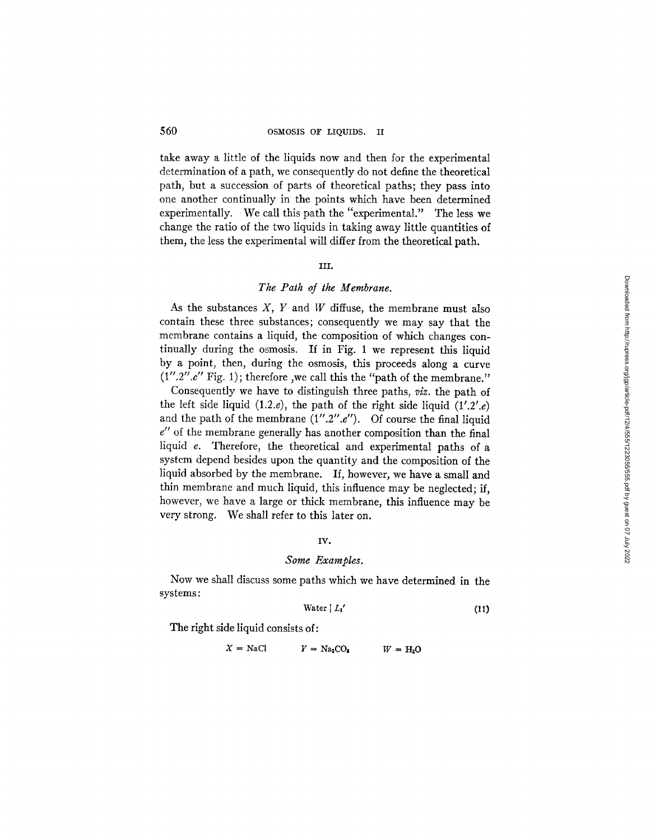take away a little of the liquids now and then for the experimental determination of a path, we consequently do not define the theoretical path, but a succession of parts of theoretical paths; they pass into one another continually in the points which have been determined experimentally. We call this path the "experimental." The less we change the ratio of the two liquids in taking away little quantities of them, the less the experimental will differ from the theoretical path.

### III.

# *The Path of the Membrane.*

As the substances  $X$ ,  $Y$  and  $W$  diffuse, the membrane must also contain these three substances; consequently we may say that the membrane contains a liquid, the composition of which changes continually during the osmosis. If in Fig. 1 we represent this liquid by a point, then, during the osmosis, this proceeds along a curve  $(1''.2''.e''$  Fig. 1); therefore ,we call this the "path of the membrane."

Consequently we have to distinguish three paths, *viz.* the path of the left side liquid  $(1.2.e)$ , the path of the right side liquid  $(1'.2'.e)$ and the path of the membrane  $(1''.2''.e'')$ . Of course the final liquid  $e''$  of the membrane generally has another composition than the final liquid e. Therefore, the theoretical and experimental paths of a system depend besides upon the quantity and the composition of the liquid absorbed by the membrane. If, however, we have a small and thin membrane and much liquid, this influence may be neglected; if, however, we have a large or thick membrane, this influence may be very strong. We shall refer to this later on.

#### IV,

### *Some Examples.*

Now we shall discuss some paths which we have determined in the systems:

$$
Water \mid L_1' \tag{11}
$$

The right side liquid consists of:

 $X = \text{NaCl}$   $Y = \text{Na}_2\text{CO}_3$   $W = H_2\text{O}$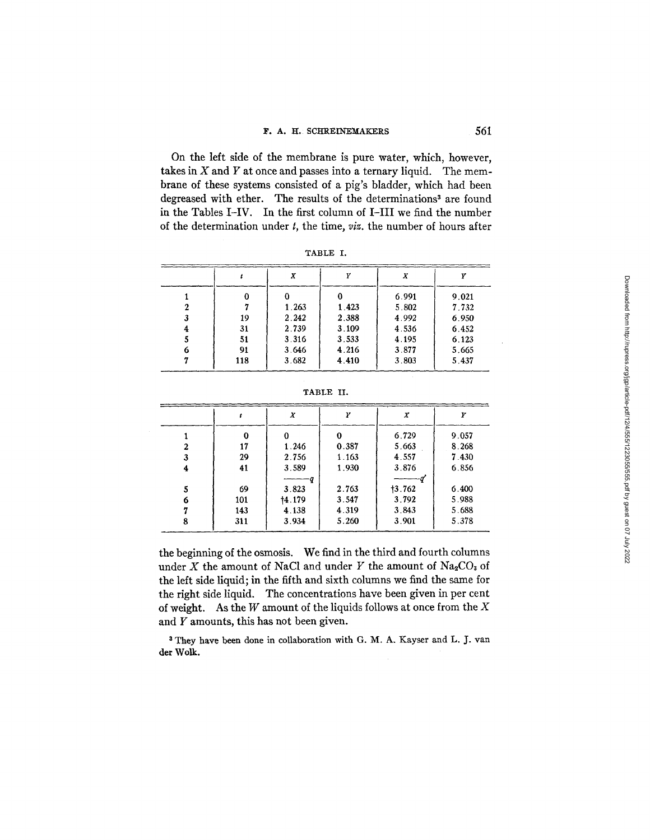On the left side of the membrane is pure water, which, however, takes in  $X$  and  $Y$  at once and passes into a ternary liquid. The membrane of these systems consisted of a pig's bladder, which had been degreased with ether. The results of the determinations<sup>3</sup> are found in the Tables I-IV. In the first column of I-III we find the number of the determination under t, the time, *viz.* the number of hours after

| и<br>. |  |
|--------|--|
|--------|--|

|     | Х     |       | X     |       |
|-----|-------|-------|-------|-------|
|     |       |       | 6.991 | 9.021 |
|     | 1.263 | 1.423 | 5.802 | 7.732 |
| 19  | 2.242 | 2.388 | 4.992 | 6.950 |
| 31  | 2.739 | 3.109 | 4.536 | 6.452 |
| 51  | 3.316 | 3.533 | 4.195 | 6.123 |
| 91  | 3.646 | 4.216 | 3.877 | 5.665 |
| 118 | 3.682 | 4.410 | 3.803 | 5.437 |

|   |     | X      | w     | Χ      |       |
|---|-----|--------|-------|--------|-------|
|   |     |        | 0     | 6.729  | 9.057 |
|   | 17  | 1.246  | 0.387 | 5.663  | 8.268 |
| 3 | 29  | 2.756  | 1.163 | 4.557  | 7.430 |
| 4 | 41  | 3.589  | 1.930 | 3.876  | 6.856 |
|   |     |        |       |        |       |
| 5 | 69  | 3.823  | 2.763 | 13.762 | 6.400 |
| 6 | 101 | 14.179 | 3.547 | 3.792  | 5.988 |
|   | 143 | 4.138  | 4.319 | 3.843  | 5.688 |
| 8 | 311 | 3.934  | 5.260 | 3.901  | 5.378 |

TABLE II.

the beginning of the osmosis. We find in the third and fourth columns under X the amount of NaCl and under Y the amount of  $Na_2CO_3$  of the left side liquid; in the fifth and sixth columns we find the same for the right side liquid. The concentrations have been given in per cent of weight. As the  $W$  amount of the liquids follows at once from the  $X$ and Y amounts, this has not been given.

3 They have been done in collaboration with G. M. A. Kayser and L. J. van **der** Wolk.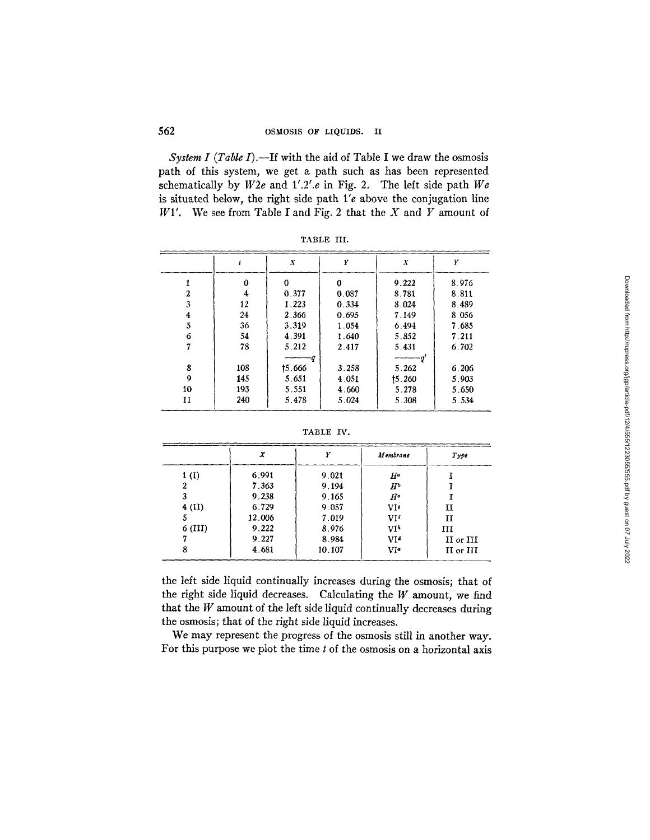## 562 OSMOSlS OF LIQUIDS. II

*System I (Table I).*—If with the aid of Table I we draw the osmosis path of this system, we get a path such as has been represented schematically by *W2e* and 1'.2'.e in Fig. 2. The left side path *We* is situated below, the right side path  $1'e$  above the conjugation line  $W1'$ . We see from Table I and Fig. 2 that the X and Y amount of

|    |     | X      | Y     | X      | У     |
|----|-----|--------|-------|--------|-------|
|    | 0   | 0      | 0     | 9.222  | 8.976 |
| 2  | 4   | 0.377  | 0.087 | 8.781  | 8.811 |
| 3  | 12  | 1.223  | 0.334 | 8.024  | 8.489 |
| 4  | 24  | 2.366  | 0.695 | 7.149  | 8.056 |
| 5  | 36  | 3.319  | 1.054 | 6.494  | 7.685 |
| 6  | 54  | 4.391  | 1.640 | 5.852  | 7.211 |
|    | 78  | 5.212  | 2.417 | 5.431  | 6.702 |
|    |     | -9     |       |        |       |
| 8  | 108 | 15.666 | 3.258 | 5.262  | 6.206 |
| 9  | 145 | 5.651  | 4.051 | 15.260 | 5.903 |
| 10 | 193 | 5.551  | 4.660 | 5.278  | 5.650 |
| 11 | 240 | 5.478  | 5.024 | 5.308  | 5.534 |

TABLE IIL

TABLE IV.

|           | X      | v      | Membrane          | Type      |
|-----------|--------|--------|-------------------|-----------|
| 1(I)      | 6.991  | 9.021  | $H^a$             |           |
|           | 7.363  | 9.194  | $H^b$             |           |
|           | 9.238  | 9.165  | $H^{\mathfrak o}$ |           |
| $4$ (II)  | 6.729  | 9.057  | VIe               | п         |
| э         | 12.006 | 7.019  | VIi               | п         |
| $6$ (III) | 9.222  | 8.976  | VI <sup>h</sup>   | ПT        |
|           | 9.227  | 8.984  | V1 <sup>d</sup>   | II or III |
|           | 4.681  | 10.107 | VI <sup>e</sup>   | II or III |

the left side liquid continually increases during the osmosis; that of the right side liquid decreases. Calculating the  $W$  amount, we find that the  $W$  amount of the left side liquid continually decreases during the osmosis; that of the right side liquid increases.

We may represent the progress of the osmosis still in another way. For this purpose we plot the time t of the osmosis on a horizontal axis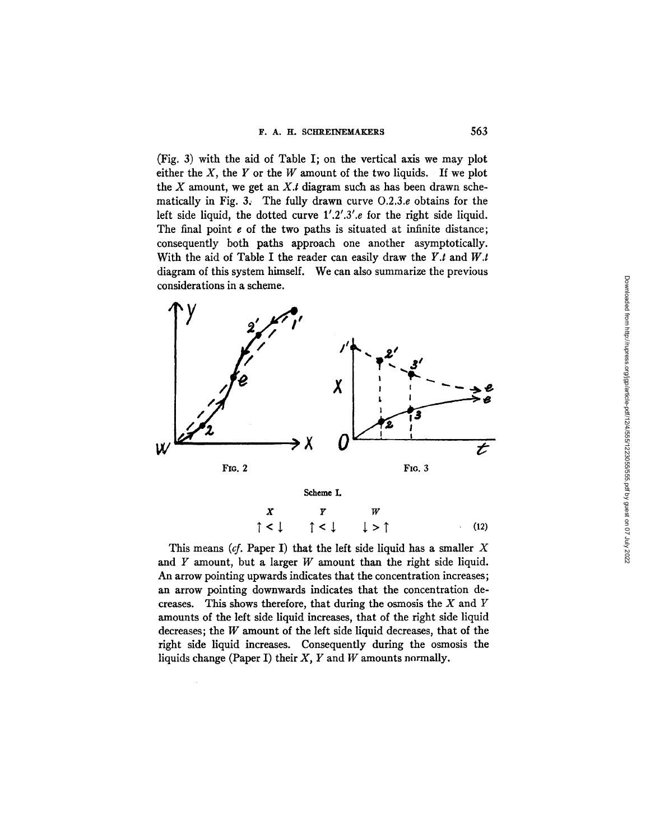(Fig. 3) with the aid of Table I; on the vertical axis we may plot either the  $X$ , the  $Y$  or the  $W$  amount of the two liquids. If we plot the  $X$  amount, we get an  $X.t$  diagram such as has been drawn schematically in Fig. 3: The fully drawn curve O.2.3.e obtains for the left side liquid, the dotted curve 1'.2'.3'.e for the right side liquid. The final point e of the two paths is situated at infinite distance; consequently both paths approach one another asymptotically. With the aid of Table I the reader can easily draw the *Y.t* and *W.t*  diagram of this system himself. We can also summarize the previous considerations in a scheme.



This means  $(cf. Paper I)$  that the left side liquid has a smaller  $X$ and  $Y$  amount, but a larger  $W$  amount than the right side liquid. An arrow pointing upwards indicates that the concentration increases; an arrow pointing downwards indicates that the concentration decreases. This shows therefore, that during the osmosis the  $X$  and  $Y$ amounts of the left side liquid increases, that of the right side liquid decreases; the  $W$  amount of the left side liquid decreases, that of the right side liquid increases. Consequently during the osmosis the liquids change (Paper I) their  $X$ ,  $Y$  and  $W$  amounts normally.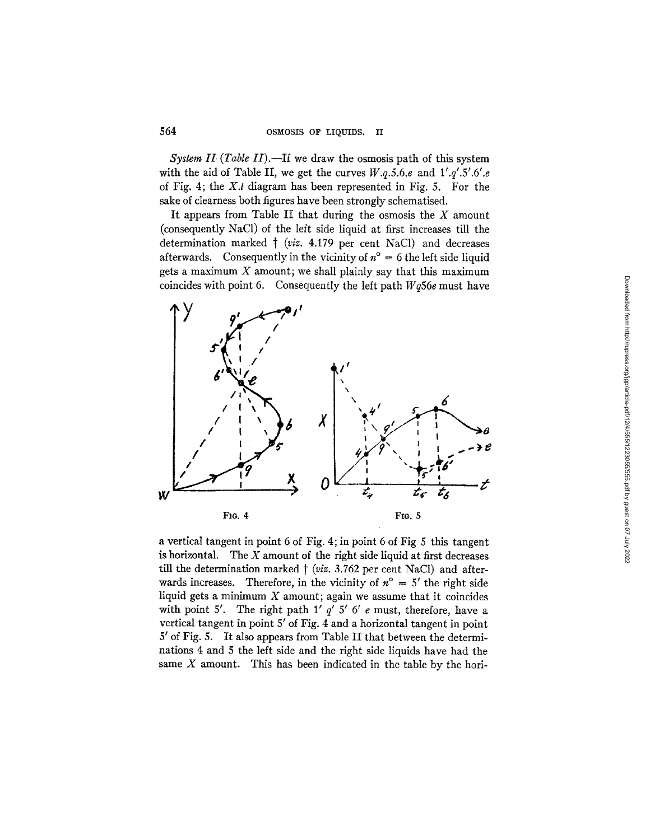*System II (Table II).*--If we draw the osmosis path of this system with the aid of Table II, we get the curves *W.q.5.6.e* and *l'.q'.5'.6'.e*  of Fig. 4; the *X.t* diagram has been represented in Fig. 5. For the sake of clearness both figures have been strongly schematised.

It appears from Table II that during the osmosis the  $X$  amount (consequently NaC1) of the left side liquid at first increases till the determination marked  $\dagger$  (*viz.* 4.179 per cent NaCl) and decreases afterwards. Consequently in the vicinity of  $n^{\circ} = 6$  the left side liquid gets a maximum  $X$  amount; we shall plainly say that this maximum coincides with point 6. Consequently the left path *Wq56e* must have



a vertical tangent in point 6 of Fig. 4; in point 6 of Fig 5 this tangent is horizontal. The  $X$  amount of the right side liquid at first decreases till the determination marked  $\dagger$  (*viz.* 3.762 per cent NaCl) and afterwards increases. Therefore, in the vicinity of  $n^{\circ} = 5'$  the right side liquid gets a minimum  $X$  amount; again we assume that it coincides with point 5'. The right path 1'  $q'$  5' 6' e must, therefore, have a vertical tangent in point 5' of Fig. 4 and a horizontal tangent in point 5' of Fig. 5. It also appears from Table II that between the determinations 4 and 5 the left side and the right side liquids have had the same  $X$  amount. This has been indicated in the table by the hori-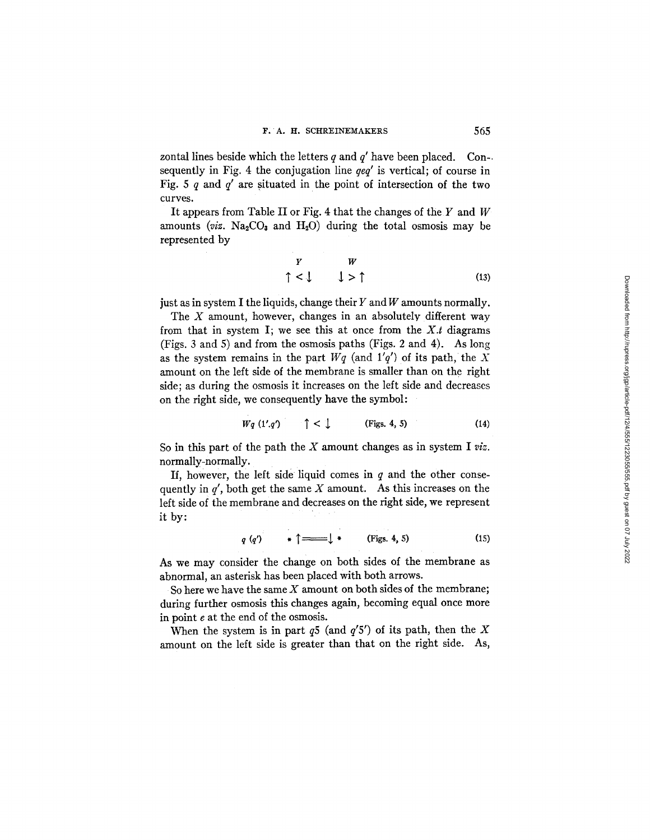zontal lines beside which the letters q and  $q'$  have been placed. Con-. sequently in Fig. 4 the conjugation line *qeq'* is vertical; of course in Fig. 5 q and *q'* are situated in the point of intersection of the two curves.

It appears from Table II or Fig. 4 that the changes of the  $Y$  and  $W$ amounts *(viz.*  $Na<sub>2</sub>CO<sub>3</sub>$  and  $H<sub>2</sub>O$ ) during the total osmosis may be represented by

$$
\begin{array}{ccc}\n Y & W \\
\uparrow & \downarrow & \uparrow \\
\end{array}
$$
\n(13)

just as in system I the liquids, change their  $Y$  and  $W$  amounts normally.

The  $X$  amount, however, changes in an absolutely different way from that in system I; we see this at once from the  $X.t$  diagrams (Figs. 3 and 5) and from the osmosis paths (Figs. 2 and 4). As long as the system remains in the part  $Wq$  (and  $1'q'$ ) of its path, the X amount on the left side of the membrane is smaller than on the right side; as during the osmosis it increases on the left side and decreases on the right side, we consequently have the symbol:

$$
Wq (1'.q') \qquad \uparrow < \downarrow \qquad \text{(Figs. 4, 5)} \tag{14}
$$

So in this part of the path the X amount changes as in system I *viz.*  normally-normally.

If, however, the left side liquid comes in  $q$  and the other consequently in  $q'$ , both get the same X amount. As this increases on the left side of the membrane and decreases on the right side, we represent it by:

 $\sim$   $\sim$ 

 $\sim 10^{-11}$ 

$$
q(q') \qquad \ast \uparrow \Longrightarrow \qquad (\text{Figs. 4, 5) \qquad (15)
$$

As we may consider the change on both sides of the membrane as abnormal, an asterisk has been placed with both arrows.

So here we have the same  $X$  amount on both sides of the membrane; during further osmosis this changes again, becoming equal once more in point e at the end of the osmosis.

When the system is in part  $q5$  (and  $q'5'$ ) of its path, then the X amount on the left side is greater than that on the right side. As,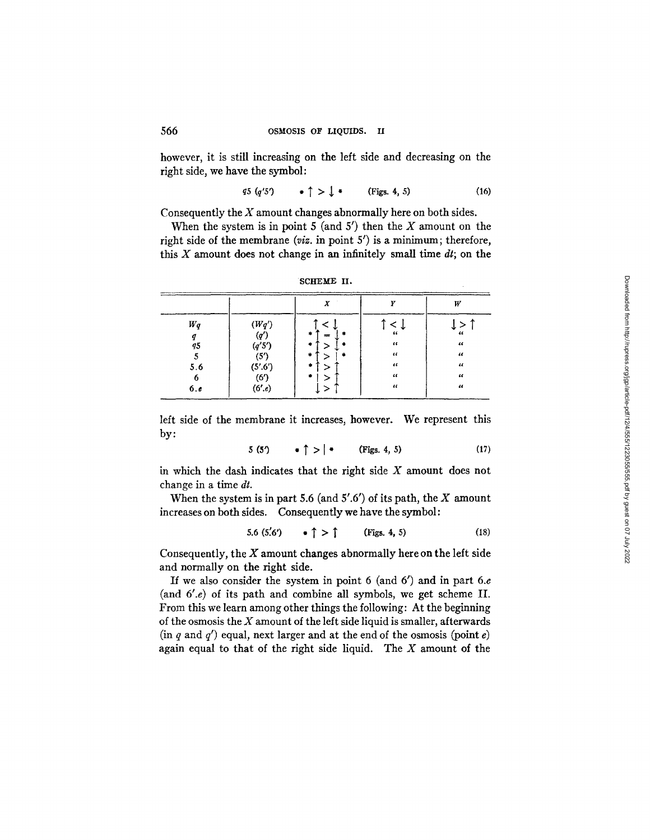however, it is still increasing on the left side and decreasing on the right side, we have the symbol:

$$
q5 (q'5) \qquad \bullet \uparrow \gt \downarrow \bullet \qquad \text{(Figs. 4, 5)} \tag{16}
$$

Consequently the  $X$  amount changes abnormally here on both sides.

When the system is in point  $5$  (and  $5'$ ) then the  $X$  amount on the right side of the membrane *(viz.* in point 5') is a minimum; therefore, this  $X$  amount does not change in an infinitely small time  $dt$ ; on the

|         |                 | $\mathbf{v}$ | 77               | W                |
|---------|-----------------|--------------|------------------|------------------|
| $W_{q}$ | $({\cal W}q')$  |              |                  | $\epsilon$       |
| 45      | (q')<br>(q'5')  | --<br>۰      | 66<br>$\epsilon$ | $\iota$          |
| 5.6     | (5')<br>(5'.6') | ۰,<br>sk.    | 44<br>$\epsilon$ | 44<br>$\epsilon$ |
| 6       | (6')            |              | 44               | $\epsilon$       |
| 6.6     | (6'.e)          |              | $\mathcal{U}$    | $\epsilon$       |

| SCHEME II. |  |  |
|------------|--|--|
|------------|--|--|

left side of the membrane it increases, however. We represent this by:

$$
5(5') \qquad \bullet \uparrow > | \bullet \qquad (\text{Figs. 4, 5}) \tag{17}
$$

in which the dash indicates that the right side X amount does not change in a time  $dt$ .

When the system is in part 5.6 (and  $5'$ .6') of its path, the  $X$  amount increases on both sides. Consequently we have the symbol:

$$
5.6 (5.6') \qquad * \uparrow > \uparrow \qquad \text{(Figs. 4, 5)} \tag{18}
$$

Consequently, the  $X$  amount changes abnormally here on the left side and normally on the right side.

If we also consider the system in point 6 (and  $6'$ ) and in part 6.e (and 6'.e) of its path and combine all symbols, we get scheme II. From this we learn among other things the following: At the beginning of the osmosis the  $X$  amount of the left side liquid is smaller, afterwards  $(in q and q')$  equal, next larger and at the end of the osmosis (point e) again equal to that of the right side liquid. The  $X$  amount of the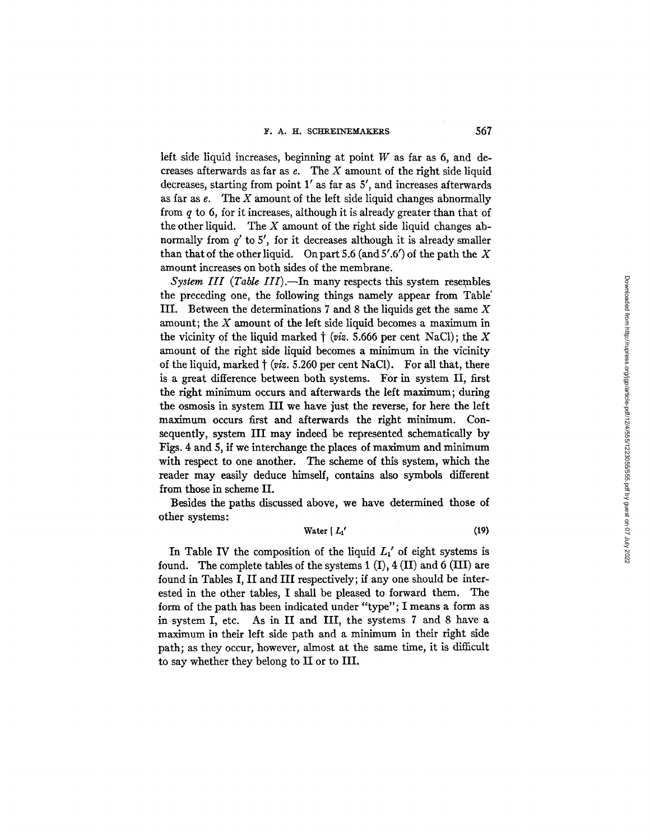left side liquid increases, beginning at point  $W$  as far as 6, and decreases afterwards as far as  $e$ . The  $X$  amount of the right side liquid decreases, starting from point  $1'$  as far as  $5'$ , and increases afterwards as far as  $e$ . The  $X$  amount of the left side liquid changes abnormally from  $q$  to 6, for it increases, although it is already greater than that of the other liquid. The  $X$  amount of the right side liquid changes abnormally from  $q'$  to 5', for it decreases although it is already smaller than that of the other liquid. On part 5.6 (and  $5'$ .6') of the path the X amount increases on both sides of the membrane.

*System III (Table III).*—In many respects this system resembles the preceding one, the following things namely appear from Table" III. Between the determinations  $7$  and  $8$  the liquids get the same  $X$ amount; the  $X$  amount of the left side liquid becomes a maximum in the vicinity of the liquid marked  $\dagger$  (*viz.* 5.666 per cent NaCl); the X amount of the right side liquid becomes a minimum in the vicinity of the liquid, marked  $\dagger$  (*viz.* 5.260 per cent NaCl). For all that, there is a great difference between both systems. For in system II, first the right minimum occurs and afterwards the left maximum; during the osmosis in system III we have just the reverse, for here the left maximum occurs first and afterwards the right minimum. Consequently, system III may indeed be represented schematically by Figs. 4 and 5, if we interchange the places of maximum and minimum with respect to one another. The scheme of this system, which the reader may easily deduce himself, contains also symbols different from those in scheme II.

Besides the paths discussed above, we have determined those of other systems:

$$
Water \mid L_1' \tag{19}
$$

In Table IV the composition of the liquid  $L_1'$  of eight systems is found. The complete tables of the systems 1 (I), 4 (II) and 6 (III) are found in Tables I, II and III respectively; if any one should be interested in the other tables, I shall be pleased to forward them. The form of the path has been indicated under "type"; I means a form as in system I, etc. As in II and III, the systems 7 and 8 have a maximum in their left side path and a minimum in their right side path; as they occur, however, almost at the same time, it is difficult to say whether they belong to II or to III.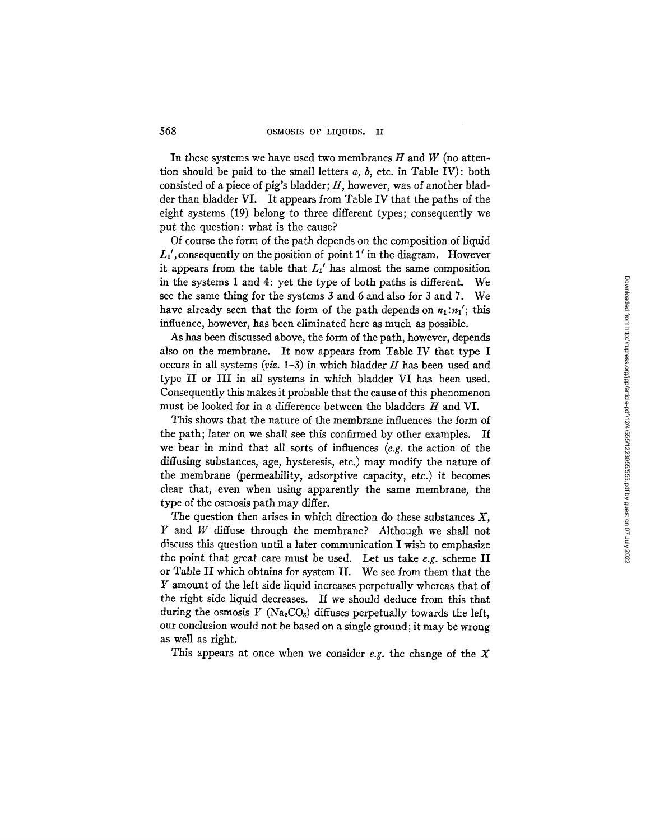In these systems we have used two membranes  $H$  and  $W$  (no attention should be paid to the small letters *a, b,* etc. in Table IV): both consisted of a piece of pig's bladder;  $H$ , however, was of another bladder than bladder VI. It appears from Table IV that the paths of the eight systems (19) belong to three different types; consequently we put the question: what is the cause?

Of course the form of the path depends on the composition of liquid  $L_1$ , consequently on the position of point 1' in the diagram. However it appears from the table that  $L_1'$  has almost the same composition in the systems 1 and 4: yet the type of both paths is different. We see the same thing for the systems 3 and 6 and also for 3 and 7. We have already seen that the form of the path depends on  $n_1:n'_1$ ; this influence, however, has been eliminated here as much as possible.

As has been discussed above, the form of the path, however, depends also on the membrane. It now appears from Table IV that type I occurs in all systems  $(viz. 1-3)$  in which bladder  $H$  has been used and type II or III in all systems in which bladder VI has been used. Consequently this makes it probable that the cause of this phenomenon must be looked for in a difference between the bladders H and VI.

This shows that the nature of the membrane influences the form of the path; later on we shall see this confirmed by other examples. If we bear in mind that all sorts of influences *(e.g.* the action of the diffusing substances, age, hysteresis, etc.) may modify the nature of the membrane (permeability, adsorptive capacity, etc.) it becomes clear that, even when using apparently the same membrane, the type of the osmosis path may differ.

The question then arises in which direction do these substances  $X$ ,  $Y$  and  $W$  diffuse through the membrane? Although we shall not discuss this question until a later communication I wish to emphasize the point that great care must be used. Let us take *e.g.* scheme II or Table II which obtains for system II. We see from them that the Y amount of the left side liquid increases perpetually whereas that of the right side liquid decreases. If we should deduce from this that during the osmosis Y (Na<sub>2</sub>CO<sub>3</sub>) diffuses perpetually towards the left, our conclusion would not be based on a single ground; it may be wrong as well as right.

This appears at once when we consider *e.g.* the change of the X